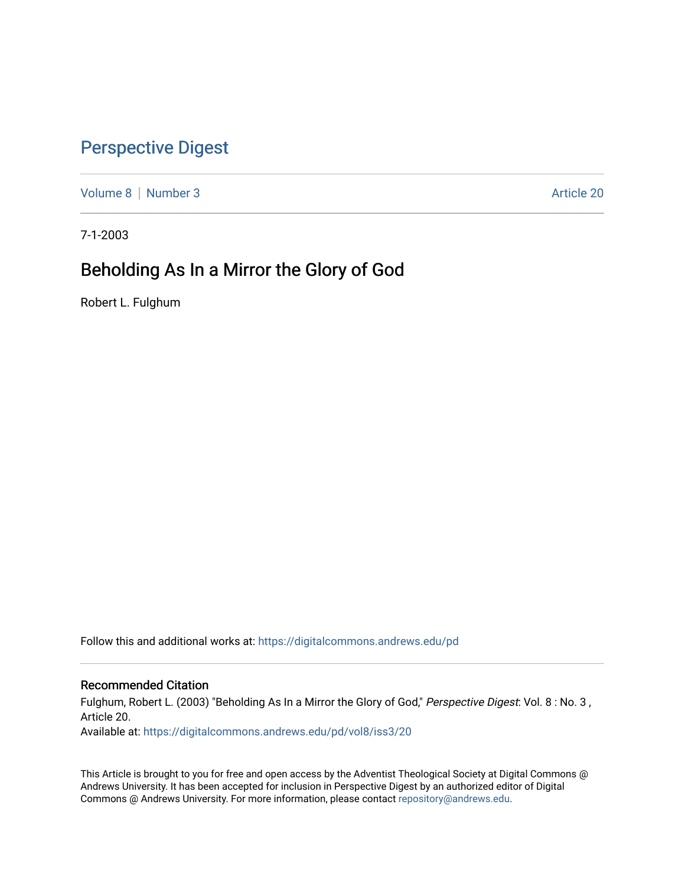# [Perspective Digest](https://digitalcommons.andrews.edu/pd)

[Volume 8](https://digitalcommons.andrews.edu/pd/vol8) | [Number 3](https://digitalcommons.andrews.edu/pd/vol8/iss3) Article 20

7-1-2003

## Beholding As In a Mirror the Glory of God

Robert L. Fulghum

Follow this and additional works at: [https://digitalcommons.andrews.edu/pd](https://digitalcommons.andrews.edu/pd?utm_source=digitalcommons.andrews.edu%2Fpd%2Fvol8%2Fiss3%2F20&utm_medium=PDF&utm_campaign=PDFCoverPages)

## Recommended Citation

Fulghum, Robert L. (2003) "Beholding As In a Mirror the Glory of God," Perspective Digest: Vol. 8: No. 3, Article 20.

Available at: [https://digitalcommons.andrews.edu/pd/vol8/iss3/20](https://digitalcommons.andrews.edu/pd/vol8/iss3/20?utm_source=digitalcommons.andrews.edu%2Fpd%2Fvol8%2Fiss3%2F20&utm_medium=PDF&utm_campaign=PDFCoverPages)

This Article is brought to you for free and open access by the Adventist Theological Society at Digital Commons @ Andrews University. It has been accepted for inclusion in Perspective Digest by an authorized editor of Digital Commons @ Andrews University. For more information, please contact [repository@andrews.edu.](mailto:repository@andrews.edu)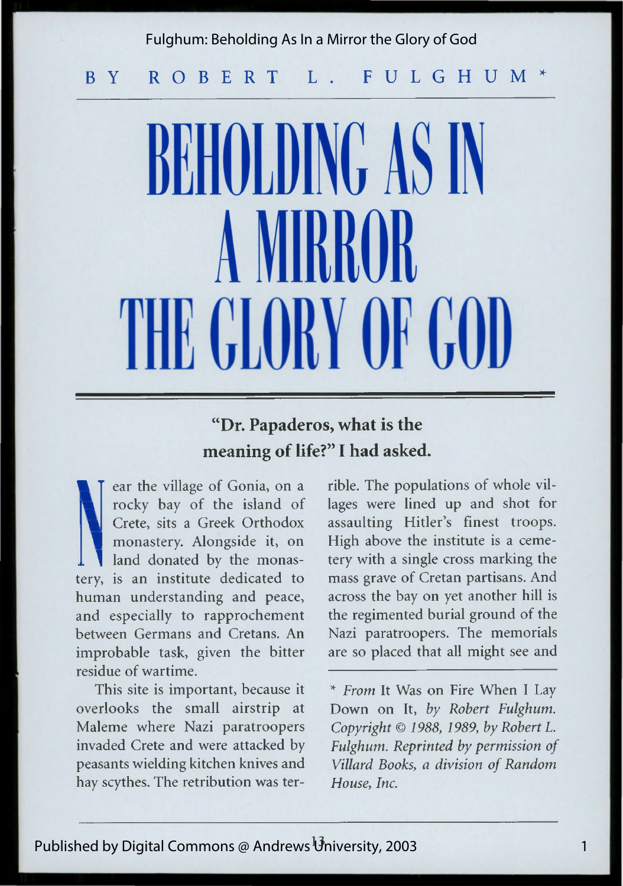Fulghum: Beholding As In a Mirror the Glory of God

BY R O B E R T L. F U L G H U M **\***

# BEHOLDING AS IN IRRIN E GLOBY OF GOD

## **"Dr. Papaderos, what is the meaning of life?" I had asked.**

ear the village of Gonia, on a rocky bay of the island of Crete, sits a Greek Orthodox *M* monastery. Alongside it, on land donated by the monastery, is an institute dedicated to human understanding and peace, and especially to rapprochement between Germans and Cretans. An improbable task, given the bitter residue of wartime.

This site is important, because it overlooks the small airstrip at Maleme where Nazi paratroopers invaded Crete and were attacked by peasants wielding kitchen knives and hay scythes. The retribution was terrible. The populations of whole villages were lined up and shot for assaulting Hitler's finest troops. High above the institute is a cemetery with a single cross marking the mass grave of Cretan partisans. And across the bay on yet another hill is the regimented burial ground of the Nazi paratroopers. The memorials are so placed that all might see and \*

\* *From* It Was on Fire When I Lay Down on It, *by Robert Fulghum. Copyright© 1988,* 1989, *by Robert L. Fulghum. Reprinted by permission of Villard Books, a division of Random House, Inc.*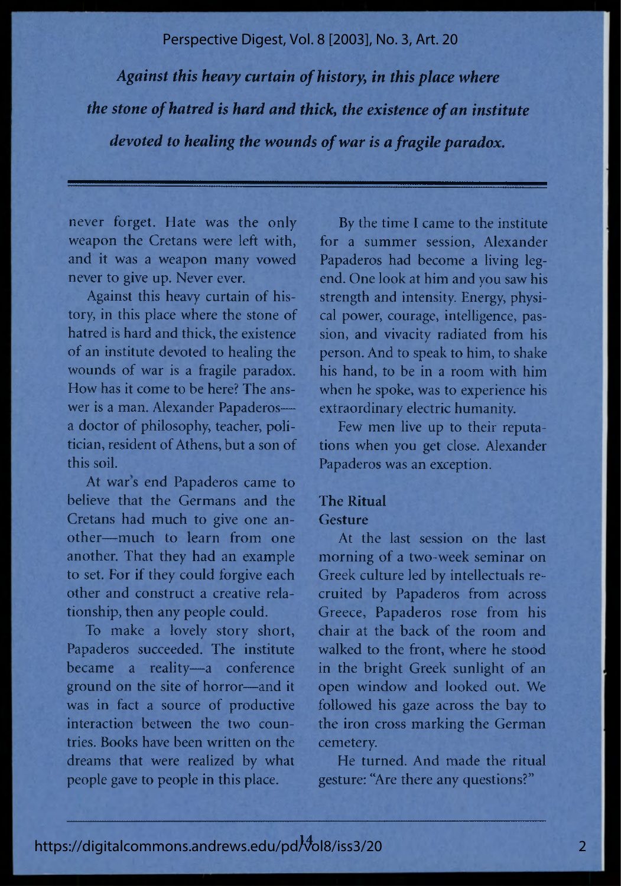## Perspective Digest, Vol. 8 [2003], No. 3, Art. 20

*Against this heavy curtain of history, in this place where the stone of hatred is hard and thick, the existence of an institute devoted to healing the wounds of war is a fragile paradox.*

never forget. Hate was the only weapon the Cretans were left with, and it was a weapon many vowed never to give up. Never ever.

Against this heavy curtain of history, in this place where the stone of hatred is hard and thick, the existence of an institute devoted to healing the wounds of war is a fragile paradox. How has it come to be here? The answer is a man. Alexander Papaderos a doctor of philosophy, teacher, politician, resident of Athens, but a son of this soil.

At war's end Papaderos came to believe that the Germans and the Cretans had much to give one another— much to learn from one another. That they had an example to set. For if they could forgive each other and construct a creative relationship, then any people could.

To make a lovely story short, Papaderos succeeded. The institute became a reality—a conference ground on the site of horror—and it was in fact a source of productive interaction between the two countries. Books have been written on the dreams that were realized by what people gave to people in this place.

By the time I came to the institute for a summer session, Alexander Papaderos had become a living legend. One look at him and you saw his strength and intensity. Energy, physical power, courage, intelligence, passion, and vivacity radiated from his person. And to speak to him, to shake his hand, to be in a room with him when he spoke, was to experience his extraordinary electric humanity.

Few men live up to their reputations when you get close. Alexander Papaderos was an exception.

### **The Ritual Gesture**

At the last session on the last morning of a two-week seminar on Greek culture led by intellectuals recruited by Papaderos from across Greece, Papaderos rose from his chair at the back of the room and walked to the front, where he stood in the bright Greek sunlight of an open window and looked out. We followed his gaze across the bay to the iron cross marking the German cemetery.

He turned. And made the ritual gesture: "Are there any questions?"